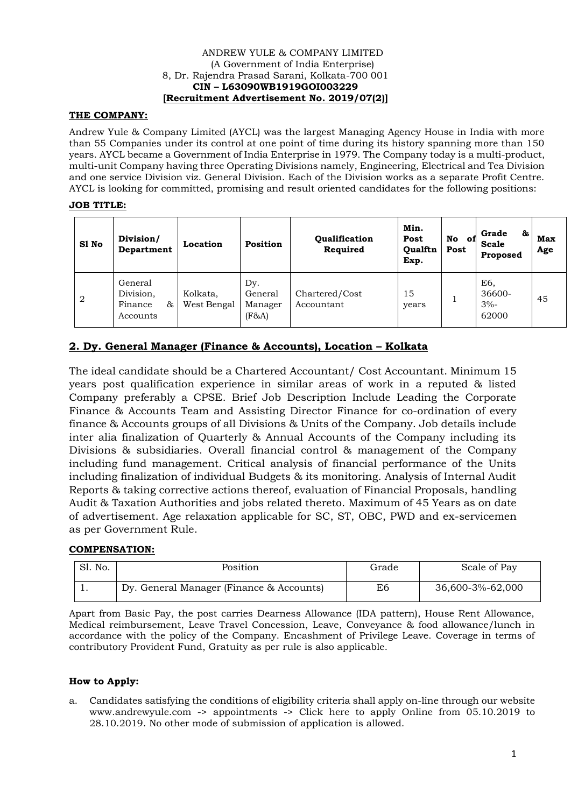#### ANDREW YULE & COMPANY LIMITED (A Government of India Enterprise) 8, Dr. Rajendra Prasad Sarani, Kolkata-700 001 **CIN – L63090WB1919GOI003229 [Recruitment Advertisement No. 2019/07(2)]**

# **THE COMPANY:**

Andrew Yule & Company Limited (AYCL) was the largest Managing Agency House in India with more than 55 Companies under its control at one point of time during its history spanning more than 150 years. AYCL became a Government of India Enterprise in 1979. The Company today is a multi-product, multi-unit Company having three Operating Divisions namely, Engineering, Electrical and Tea Division and one service Division viz. General Division. Each of the Division works as a separate Profit Centre. AYCL is looking for committed, promising and result oriented candidates for the following positions:

# **JOB TITLE:**

| S1 No          | Division/<br>Department                            | Location                | <b>Position</b>                       | Qualification<br>Required    | Min.<br>Post<br><b>Oualftn</b><br>Exp. | No<br>of<br>Post | Grade<br>&<br>Scale<br>Proposed  | Max<br>Age |
|----------------|----------------------------------------------------|-------------------------|---------------------------------------|------------------------------|----------------------------------------|------------------|----------------------------------|------------|
| $\overline{2}$ | General<br>Division,<br>85.<br>Finance<br>Accounts | Kolkata,<br>West Bengal | Dy.<br>General<br>Manager<br>$(F\&A)$ | Chartered/Cost<br>Accountant | 15<br>years                            |                  | E6.<br>36600-<br>$3% -$<br>62000 | 45         |

# **2. Dy. General Manager (Finance & Accounts), Location – Kolkata**

The ideal candidate should be a Chartered Accountant/ Cost Accountant. Minimum 15 years post qualification experience in similar areas of work in a reputed & listed Company preferably a CPSE. Brief Job Description Include Leading the Corporate Finance & Accounts Team and Assisting Director Finance for co-ordination of every finance & Accounts groups of all Divisions & Units of the Company. Job details include inter alia finalization of Quarterly & Annual Accounts of the Company including its Divisions & subsidiaries. Overall financial control & management of the Company including fund management. Critical analysis of financial performance of the Units including finalization of individual Budgets & its monitoring. Analysis of Internal Audit Reports & taking corrective actions thereof, evaluation of Financial Proposals, handling Audit & Taxation Authorities and jobs related thereto. Maximum of 45 Years as on date of advertisement. Age relaxation applicable for SC, ST, OBC, PWD and ex-servicemen as per Government Rule.

### **COMPENSATION:**

| Sl. No. | Position                                 | Grade | Scale of Pay     |
|---------|------------------------------------------|-------|------------------|
|         | Dy. General Manager (Finance & Accounts) | E6    | 36,600-3%-62,000 |

Apart from Basic Pay, the post carries Dearness Allowance (IDA pattern), House Rent Allowance, Medical reimbursement, Leave Travel Concession, Leave, Conveyance & food allowance/lunch in accordance with the policy of the Company. Encashment of Privilege Leave. Coverage in terms of contributory Provident Fund, Gratuity as per rule is also applicable.

### **How to Apply:**

a. Candidates satisfying the conditions of eligibility criteria shall apply on-line through our website www.andrewyule.com -> appointments -> Click here to apply Online from 05.10.2019 to 28.10.2019. No other mode of submission of application is allowed.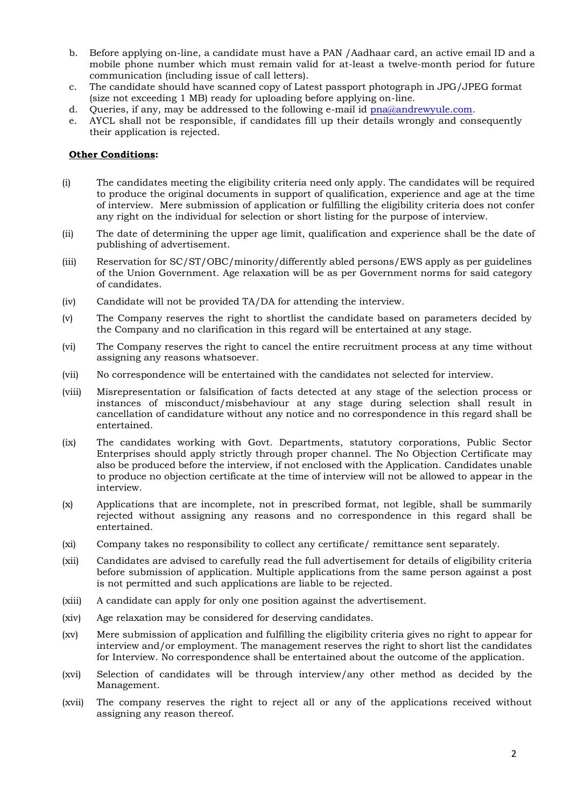- b. Before applying on-line, a candidate must have a PAN /Aadhaar card, an active email ID and a mobile phone number which must remain valid for at-least a twelve-month period for future communication (including issue of call letters).
- c. The candidate should have scanned copy of Latest passport photograph in JPG/JPEG format (size not exceeding 1 MB) ready for uploading before applying on-line.
- d. Queries, if any, may be addressed to the following e-mail id  $pna@andrewycle.com$ .
- e. AYCL shall not be responsible, if candidates fill up their details wrongly and consequently their application is rejected.

#### **Other Conditions:**

- (i) The candidates meeting the eligibility criteria need only apply. The candidates will be required to produce the original documents in support of qualification, experience and age at the time of interview. Mere submission of application or fulfilling the eligibility criteria does not confer any right on the individual for selection or short listing for the purpose of interview.
- (ii) The date of determining the upper age limit, qualification and experience shall be the date of publishing of advertisement.
- (iii) Reservation for SC/ST/OBC/minority/differently abled persons/EWS apply as per guidelines of the Union Government. Age relaxation will be as per Government norms for said category of candidates.
- (iv) Candidate will not be provided TA/DA for attending the interview.
- (v) The Company reserves the right to shortlist the candidate based on parameters decided by the Company and no clarification in this regard will be entertained at any stage.
- (vi) The Company reserves the right to cancel the entire recruitment process at any time without assigning any reasons whatsoever.
- (vii) No correspondence will be entertained with the candidates not selected for interview.
- (viii) Misrepresentation or falsification of facts detected at any stage of the selection process or instances of misconduct/misbehaviour at any stage during selection shall result in cancellation of candidature without any notice and no correspondence in this regard shall be entertained.
- (ix) The candidates working with Govt. Departments, statutory corporations, Public Sector Enterprises should apply strictly through proper channel. The No Objection Certificate may also be produced before the interview, if not enclosed with the Application. Candidates unable to produce no objection certificate at the time of interview will not be allowed to appear in the interview.
- (x) Applications that are incomplete, not in prescribed format, not legible, shall be summarily rejected without assigning any reasons and no correspondence in this regard shall be entertained.
- (xi) Company takes no responsibility to collect any certificate/ remittance sent separately.
- (xii) Candidates are advised to carefully read the full advertisement for details of eligibility criteria before submission of application. Multiple applications from the same person against a post is not permitted and such applications are liable to be rejected.
- (xiii) A candidate can apply for only one position against the advertisement.
- (xiv) Age relaxation may be considered for deserving candidates.
- (xv) Mere submission of application and fulfilling the eligibility criteria gives no right to appear for interview and/or employment. The management reserves the right to short list the candidates for Interview. No correspondence shall be entertained about the outcome of the application.
- (xvi) Selection of candidates will be through interview/any other method as decided by the Management.
- (xvii) The company reserves the right to reject all or any of the applications received without assigning any reason thereof.